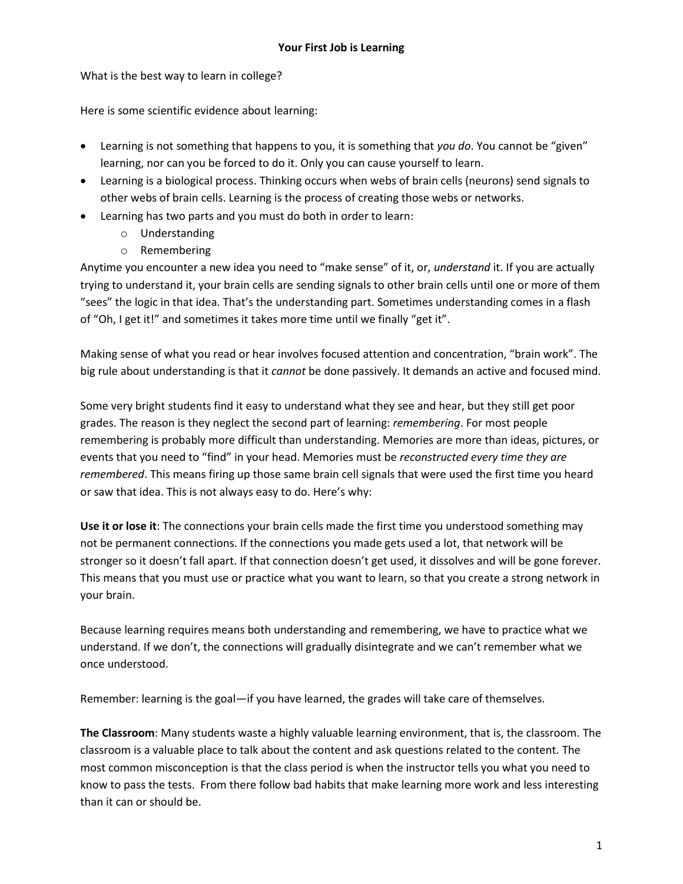What is the best way to learn in college?

Here is some scientific evidence about learning:

- Learning is not something that happens to you, it is something that *you do*. You cannot be "given" learning, nor can you be forced to do it. Only you can cause yourself to learn.
- Learning is a biological process. Thinking occurs when webs of brain cells (neurons) send signals to other webs of brain cells. Learning is the process of creating those webs or networks.
- Learning has two parts and you must do both in order to learn:
	- o Understanding
	- o Remembering

Anytime you encounter a new idea you need to "make sense" of it, or, *understand* it. If you are actually trying to understand it, your brain cells are sending signals to other brain cells until one or more of them "sees" the logic in that idea. That's the understanding part. Sometimes understanding comes in a flash of "Oh, I get it!" and sometimes it takes more time until we finally "get it".

Making sense of what you read or hear involves focused attention and concentration, "brain work". The big rule about understanding is that it *cannot* be done passively. It demands an active and focused mind.

Some very bright students find it easy to understand what they see and hear, but they still get poor grades. The reason is they neglect the second part of learning: *remembering*. For most people remembering is probably more difficult than understanding. Memories are more than ideas, pictures, or events that you need to "find" in your head. Memories must be *reconstructed every time they are remembered*. This means firing up those same brain cell signals that were used the first time you heard or saw that idea. This is not always easy to do. Here's why:

**Use it or lose it**: The connections your brain cells made the first time you understood something may not be permanent connections. If the connections you made gets used a lot, that network will be stronger so it doesn't fall apart. If that connection doesn't get used, it dissolves and will be gone forever. This means that you must use or practice what you want to learn, so that you create a strong network in your brain.

Because learning requires means both understanding and remembering, we have to practice what we understand. If we don't, the connections will gradually disintegrate and we can't remember what we once understood.

Remember: learning is the goal—if you have learned, the grades will take care of themselves.

**The Classroom**: Many students waste a highly valuable learning environment, that is, the classroom. The classroom is a valuable place to talk about the content and ask questions related to the content. The most common misconception is that the class period is when the instructor tells you what you need to know to pass the tests. From there follow bad habits that make learning more work and less interesting than it can or should be.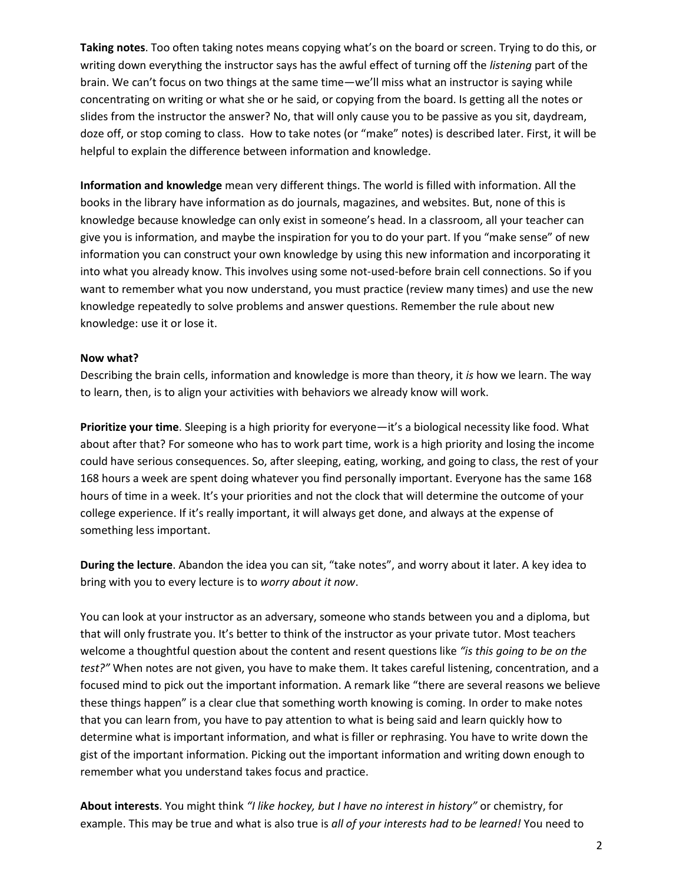**Taking notes**. Too often taking notes means copying what's on the board or screen. Trying to do this, or writing down everything the instructor says has the awful effect of turning off the *listening* part of the brain. We can't focus on two things at the same time—we'll miss what an instructor is saying while concentrating on writing or what she or he said, or copying from the board. Is getting all the notes or slides from the instructor the answer? No, that will only cause you to be passive as you sit, daydream, doze off, or stop coming to class. How to take notes (or "make" notes) is described later. First, it will be helpful to explain the difference between information and knowledge.

**Information and knowledge** mean very different things. The world is filled with information. All the books in the library have information as do journals, magazines, and websites. But, none of this is knowledge because knowledge can only exist in someone's head. In a classroom, all your teacher can give you is information, and maybe the inspiration for you to do your part. If you "make sense" of new information you can construct your own knowledge by using this new information and incorporating it into what you already know. This involves using some not-used-before brain cell connections. So if you want to remember what you now understand, you must practice (review many times) and use the new knowledge repeatedly to solve problems and answer questions. Remember the rule about new knowledge: use it or lose it.

## **Now what?**

Describing the brain cells, information and knowledge is more than theory, it *is* how we learn. The way to learn, then, is to align your activities with behaviors we already know will work.

**Prioritize your time**. Sleeping is a high priority for everyone—it's a biological necessity like food. What about after that? For someone who has to work part time, work is a high priority and losing the income could have serious consequences. So, after sleeping, eating, working, and going to class, the rest of your 168 hours a week are spent doing whatever you find personally important. Everyone has the same 168 hours of time in a week. It's your priorities and not the clock that will determine the outcome of your college experience. If it's really important, it will always get done, and always at the expense of something less important.

**During the lecture**. Abandon the idea you can sit, "take notes", and worry about it later. A key idea to bring with you to every lecture is to *worry about it now*.

You can look at your instructor as an adversary, someone who stands between you and a diploma, but that will only frustrate you. It's better to think of the instructor as your private tutor. Most teachers welcome a thoughtful question about the content and resent questions like *"is this going to be on the test?"* When notes are not given, you have to make them. It takes careful listening, concentration, and a focused mind to pick out the important information. A remark like "there are several reasons we believe these things happen" is a clear clue that something worth knowing is coming. In order to make notes that you can learn from, you have to pay attention to what is being said and learn quickly how to determine what is important information, and what is filler or rephrasing. You have to write down the gist of the important information. Picking out the important information and writing down enough to remember what you understand takes focus and practice.

**About interests**. You might think *"I like hockey, but I have no interest in history"* or chemistry, for example. This may be true and what is also true is *all of your interests had to be learned!* You need to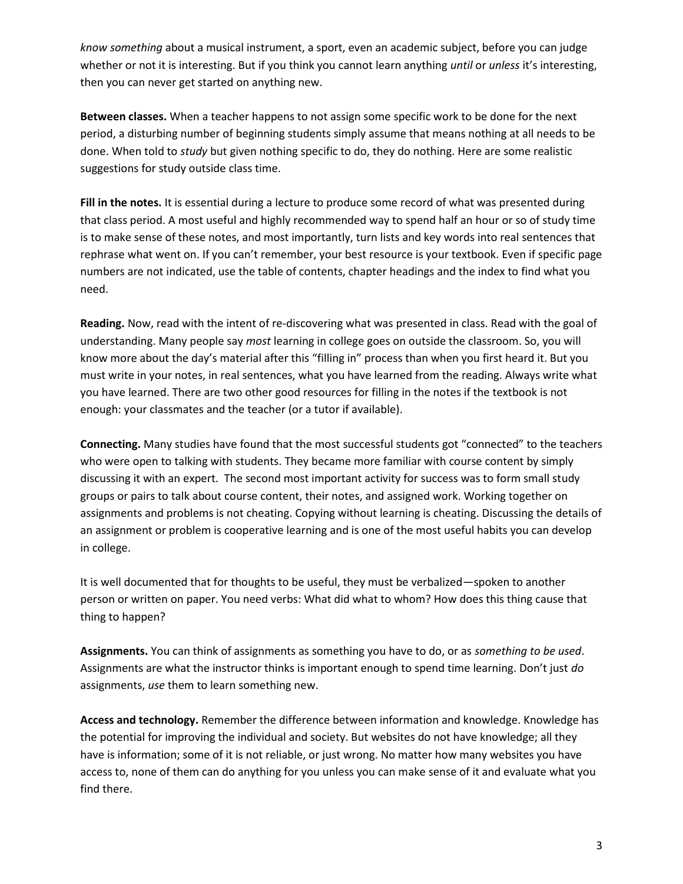*know something* about a musical instrument, a sport, even an academic subject, before you can judge whether or not it is interesting. But if you think you cannot learn anything *until* or *unless* it's interesting, then you can never get started on anything new.

**Between classes.** When a teacher happens to not assign some specific work to be done for the next period, a disturbing number of beginning students simply assume that means nothing at all needs to be done. When told to *study* but given nothing specific to do, they do nothing. Here are some realistic suggestions for study outside class time.

**Fill in the notes.** It is essential during a lecture to produce some record of what was presented during that class period. A most useful and highly recommended way to spend half an hour or so of study time is to make sense of these notes, and most importantly, turn lists and key words into real sentences that rephrase what went on. If you can't remember, your best resource is your textbook. Even if specific page numbers are not indicated, use the table of contents, chapter headings and the index to find what you need.

**Reading.** Now, read with the intent of re-discovering what was presented in class. Read with the goal of understanding. Many people say *most* learning in college goes on outside the classroom. So, you will know more about the day's material after this "filling in" process than when you first heard it. But you must write in your notes, in real sentences, what you have learned from the reading. Always write what you have learned. There are two other good resources for filling in the notes if the textbook is not enough: your classmates and the teacher (or a tutor if available).

**Connecting.** Many studies have found that the most successful students got "connected" to the teachers who were open to talking with students. They became more familiar with course content by simply discussing it with an expert. The second most important activity for success was to form small study groups or pairs to talk about course content, their notes, and assigned work. Working together on assignments and problems is not cheating. Copying without learning is cheating. Discussing the details of an assignment or problem is cooperative learning and is one of the most useful habits you can develop in college.

It is well documented that for thoughts to be useful, they must be verbalized—spoken to another person or written on paper. You need verbs: What did what to whom? How does this thing cause that thing to happen?

**Assignments.** You can think of assignments as something you have to do, or as *something to be used*. Assignments are what the instructor thinks is important enough to spend time learning. Don't just *do* assignments, *use* them to learn something new.

**Access and technology.** Remember the difference between information and knowledge. Knowledge has the potential for improving the individual and society. But websites do not have knowledge; all they have is information; some of it is not reliable, or just wrong. No matter how many websites you have access to, none of them can do anything for you unless you can make sense of it and evaluate what you find there.